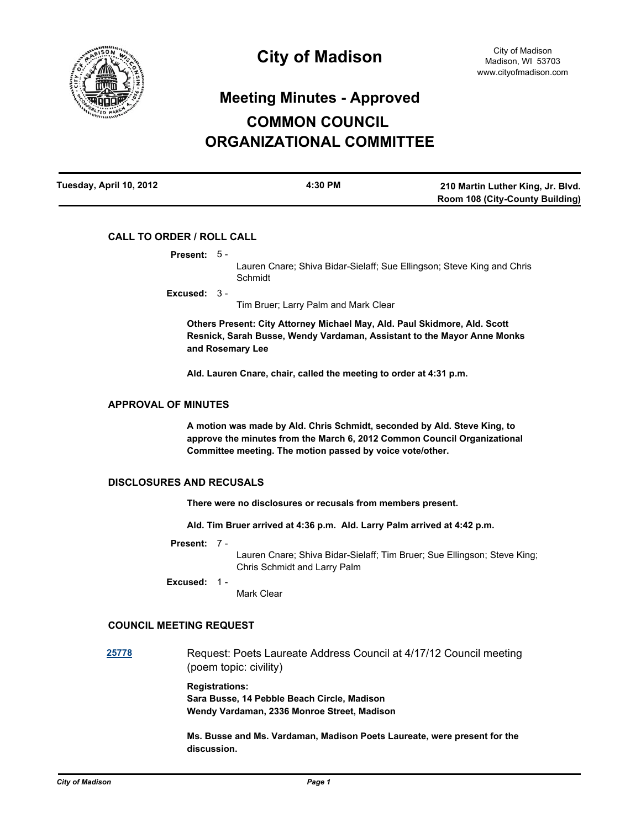

# **Meeting Minutes - Approved COMMON COUNCIL ORGANIZATIONAL COMMITTEE**

| Tuesday, April 10, 2012 | 4:30 PM | 210 Martin Luther King, Jr. Blvd.      |
|-------------------------|---------|----------------------------------------|
|                         |         | <b>Room 108 (City-County Building)</b> |

# **CALL TO ORDER / ROLL CALL**

**Present:** 5 -

Lauren Cnare; Shiva Bidar-Sielaff; Sue Ellingson; Steve King and Chris Schmidt

**Excused:** 3 -

Tim Bruer; Larry Palm and Mark Clear

**Others Present: City Attorney Michael May, Ald. Paul Skidmore, Ald. Scott Resnick, Sarah Busse, Wendy Vardaman, Assistant to the Mayor Anne Monks and Rosemary Lee**

**Ald. Lauren Cnare, chair, called the meeting to order at 4:31 p.m.**

# **APPROVAL OF MINUTES**

**A motion was made by Ald. Chris Schmidt, seconded by Ald. Steve King, to approve the minutes from the March 6, 2012 Common Council Organizational Committee meeting. The motion passed by voice vote/other.**

# **DISCLOSURES AND RECUSALS**

**There were no disclosures or recusals from members present.**

**Ald. Tim Bruer arrived at 4:36 p.m. Ald. Larry Palm arrived at 4:42 p.m.**

**Present:** 7 -

Lauren Cnare; Shiva Bidar-Sielaff; Tim Bruer; Sue Ellingson; Steve King; Chris Schmidt and Larry Palm

**Excused:** 1 -

Mark Clear

# **COUNCIL MEETING REQUEST**

**[25778](http://madison.legistar.com/gateway.aspx?M=L&ID=28372)** Request: Poets Laureate Address Council at 4/17/12 Council meeting (poem topic: civility)

> **Registrations: Sara Busse, 14 Pebble Beach Circle, Madison Wendy Vardaman, 2336 Monroe Street, Madison**

**Ms. Busse and Ms. Vardaman, Madison Poets Laureate, were present for the discussion.**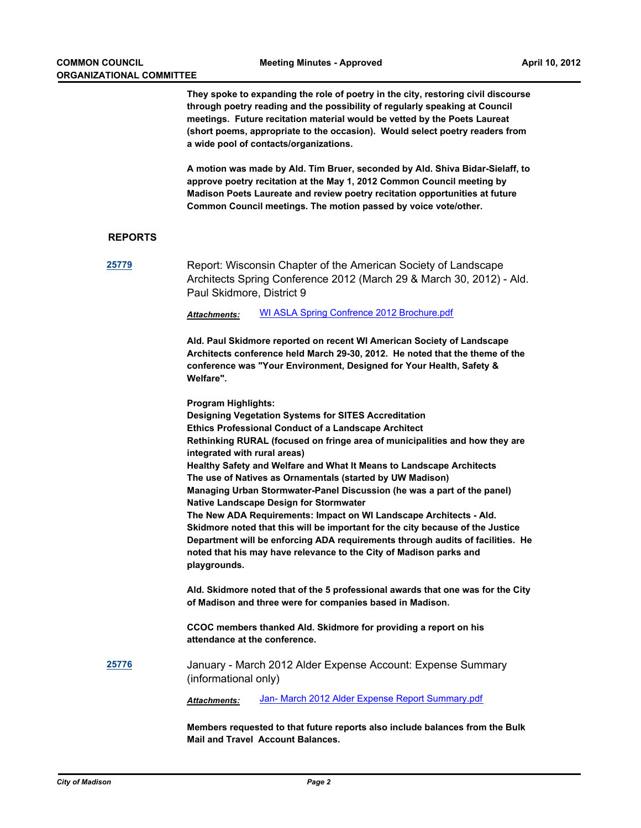**They spoke to expanding the role of poetry in the city, restoring civil discourse through poetry reading and the possibility of regularly speaking at Council meetings. Future recitation material would be vetted by the Poets Laureat (short poems, appropriate to the occasion). Would select poetry readers from a wide pool of contacts/organizations.**

**A motion was made by Ald. Tim Bruer, seconded by Ald. Shiva Bidar-Sielaff, to approve poetry recitation at the May 1, 2012 Common Council meeting by Madison Poets Laureate and review poetry recitation opportunities at future Common Council meetings. The motion passed by voice vote/other.**

# **REPORTS**

**[25779](http://madison.legistar.com/gateway.aspx?M=L&ID=28373)** Report: Wisconsin Chapter of the American Society of Landscape Architects Spring Conference 2012 (March 29 & March 30, 2012) - Ald. Paul Skidmore, District 9

*Attachments:* [WI ASLA Spring Confrence 2012 Brochure.pdf](http://madison.legistar.com/gateway.aspx?M=F&ID=50030a95-69e5-4557-b61d-5e8e8ff50431.pdf)

**Ald. Paul Skidmore reported on recent WI American Society of Landscape Architects conference held March 29-30, 2012. He noted that the theme of the conference was "Your Environment, Designed for Your Health, Safety & Welfare".** 

**Program Highlights: Designing Vegetation Systems for SITES Accreditation Ethics Professional Conduct of a Landscape Architect Rethinking RURAL (focused on fringe area of municipalities and how they are integrated with rural areas) Healthy Safety and Welfare and What It Means to Landscape Architects The use of Natives as Ornamentals (started by UW Madison) Managing Urban Stormwater-Panel Discussion (he was a part of the panel) Native Landscape Design for Stormwater The New ADA Requirements: Impact on WI Landscape Architects - Ald. Skidmore noted that this will be important for the city because of the Justice Department will be enforcing ADA requirements through audits of facilities. He noted that his may have relevance to the City of Madison parks and playgrounds.**

**Ald. Skidmore noted that of the 5 professional awards that one was for the City of Madison and three were for companies based in Madison.**

**CCOC members thanked Ald. Skidmore for providing a report on his attendance at the conference.**

**[25776](http://madison.legistar.com/gateway.aspx?M=L&ID=28370)** January - March 2012 Alder Expense Account: Expense Summary (informational only)

*Attachments:* [Jan- March 2012 Alder Expense Report Summary.pdf](http://madison.legistar.com/gateway.aspx?M=F&ID=028c6f78-ee49-409e-b636-67e983986c31.pdf)

**Members requested to that future reports also include balances from the Bulk Mail and Travel Account Balances.**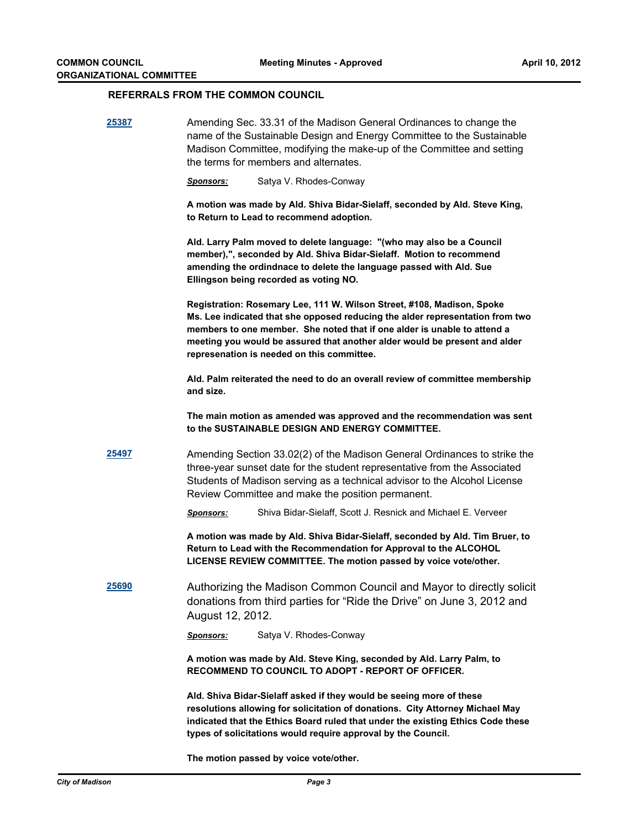# **REFERRALS FROM THE COMMON COUNCIL**

| 25387         | Amending Sec. 33.31 of the Madison General Ordinances to change the<br>name of the Sustainable Design and Energy Committee to the Sustainable<br>Madison Committee, modifying the make-up of the Committee and setting<br>the terms for members and alternates.                                                                                                 |  |
|---------------|-----------------------------------------------------------------------------------------------------------------------------------------------------------------------------------------------------------------------------------------------------------------------------------------------------------------------------------------------------------------|--|
|               | Satya V. Rhodes-Conway<br><u>Sponsors:</u>                                                                                                                                                                                                                                                                                                                      |  |
|               | A motion was made by Ald. Shiva Bidar-Sielaff, seconded by Ald. Steve King,<br>to Return to Lead to recommend adoption.                                                                                                                                                                                                                                         |  |
|               | Ald. Larry Palm moved to delete language: "(who may also be a Council<br>member),", seconded by Ald. Shiva Bidar-Sielaff. Motion to recommend<br>amending the ordindnace to delete the language passed with Ald. Sue<br>Ellingson being recorded as voting NO.                                                                                                  |  |
|               | Registration: Rosemary Lee, 111 W. Wilson Street, #108, Madison, Spoke<br>Ms. Lee indicated that she opposed reducing the alder representation from two<br>members to one member. She noted that if one alder is unable to attend a<br>meeting you would be assured that another alder would be present and alder<br>represenation is needed on this committee. |  |
|               | Ald. Palm reiterated the need to do an overall review of committee membership<br>and size.                                                                                                                                                                                                                                                                      |  |
|               | The main motion as amended was approved and the recommendation was sent<br>to the SUSTAINABLE DESIGN AND ENERGY COMMITTEE.                                                                                                                                                                                                                                      |  |
| 25497         | Amending Section 33.02(2) of the Madison General Ordinances to strike the<br>three-year sunset date for the student representative from the Associated<br>Students of Madison serving as a technical advisor to the Alcohol License<br>Review Committee and make the position permanent.                                                                        |  |
|               | Shiva Bidar-Sielaff, Scott J. Resnick and Michael E. Verveer<br><b>Sponsors:</b>                                                                                                                                                                                                                                                                                |  |
|               | A motion was made by Ald. Shiva Bidar-Sielaff, seconded by Ald. Tim Bruer, to<br>Return to Lead with the Recommendation for Approval to the ALCOHOL<br>LICENSE REVIEW COMMITTEE. The motion passed by voice vote/other.                                                                                                                                         |  |
| <u> 25690</u> | Authorizing the Madison Common Council and Mayor to directly solicit<br>donations from third parties for "Ride the Drive" on June 3, 2012 and<br>August 12, 2012.                                                                                                                                                                                               |  |
|               | Satya V. Rhodes-Conway<br><b>Sponsors:</b>                                                                                                                                                                                                                                                                                                                      |  |
|               | A motion was made by Ald. Steve King, seconded by Ald. Larry Palm, to<br><b>RECOMMEND TO COUNCIL TO ADOPT - REPORT OF OFFICER.</b>                                                                                                                                                                                                                              |  |
|               | Ald. Shiva Bidar-Sielaff asked if they would be seeing more of these<br>resolutions allowing for solicitation of donations. City Attorney Michael May<br>indicated that the Ethics Board ruled that under the existing Ethics Code these<br>types of solicitations would require approval by the Council.                                                       |  |

**The motion passed by voice vote/other.**